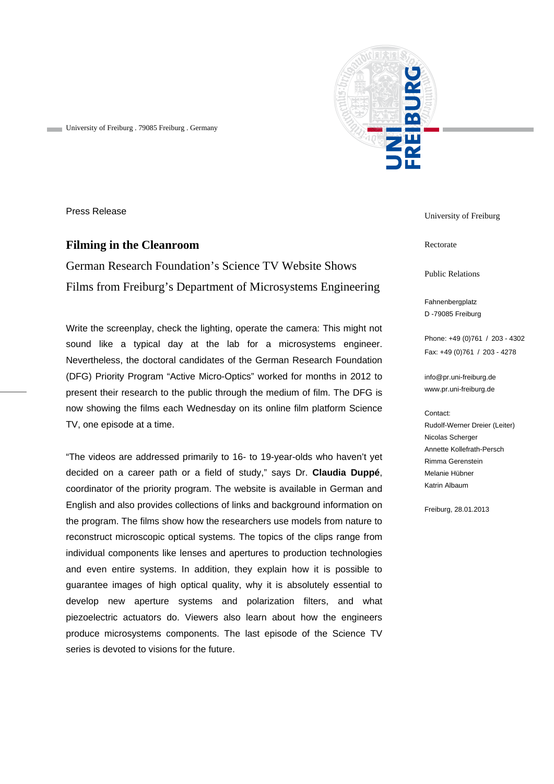

University of Freiburg . 79085 Freiburg . Germany

Press Release

## **Filming in the Cleanroom**

German Research Foundation's Science TV Website Shows Films from Freiburg's Department of Microsystems Engineering

Write the screenplay, check the lighting, operate the camera: This might not sound like a typical day at the lab for a microsystems engineer. Nevertheless, the doctoral candidates of the German Research Foundation (DFG) Priority Program "Active Micro-Optics" worked for months in 2012 to present their research to the public through the medium of film. The DFG is now showing the films each Wednesday on its online film platform Science TV, one episode at a time.

"The videos are addressed primarily to 16- to 19-year-olds who haven't yet decided on a career path or a field of study," says Dr. **Claudia Duppé**, coordinator of the priority program. The website is available in German and English and also provides collections of links and background information on the program. The films show how the researchers use models from nature to reconstruct microscopic optical systems. The topics of the clips range from individual components like lenses and apertures to production technologies and even entire systems. In addition, they explain how it is possible to guarantee images of high optical quality, why it is absolutely essential to develop new aperture systems and polarization filters, and what piezoelectric actuators do. Viewers also learn about how the engineers produce microsystems components. The last episode of the Science TV series is devoted to visions for the future.

University of Freiburg

Rectorate

Public Relations

Fahnenbergplatz D -79085 Freiburg

Phone: +49 (0)761 / 203 - 4302 Fax: +49 (0)761 / 203 - 4278

info@pr.uni-freiburg.de www.pr.uni-freiburg.de

Contact:

Rudolf-Werner Dreier (Leiter) Nicolas Scherger Annette Kollefrath-Persch Rimma Gerenstein Melanie Hübner Katrin Albaum

Freiburg, 28.01.2013